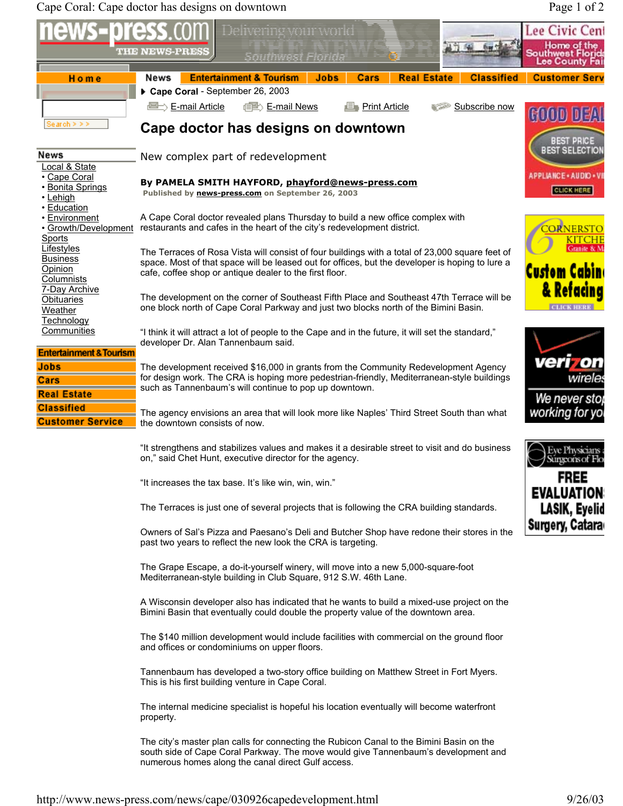Cape Coral: Cape doctor has designs on downtown Page 1 of 2